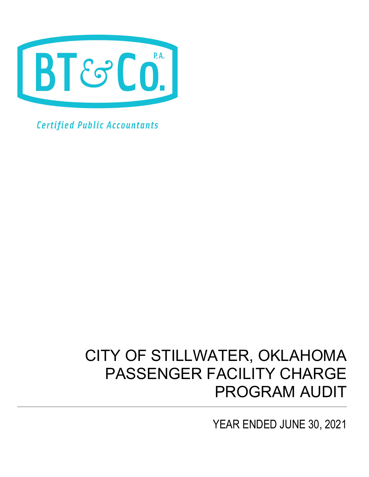

**Certified Public Accountants** 

# CITY OF STILLWATER, OKLAHOMA PASSENGER FACILITY CHARGE PROGRAM AUDIT

YEAR ENDED JUNE 30, 2021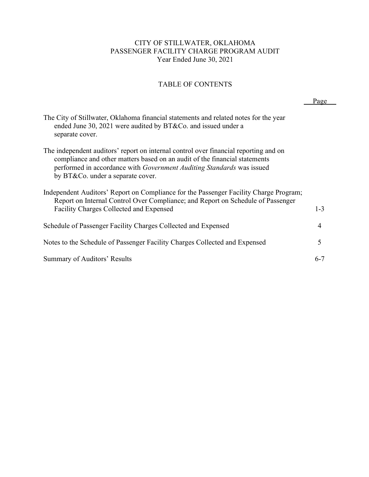# CITY OF STILLWATER, OKLAHOMA PASSENGER FACILITY CHARGE PROGRAM AUDIT Year Ended June 30, 2021

# TABLE OF CONTENTS

|                                                                                                                                                                                                                                                                                         | Page           |
|-----------------------------------------------------------------------------------------------------------------------------------------------------------------------------------------------------------------------------------------------------------------------------------------|----------------|
| The City of Stillwater, Oklahoma financial statements and related notes for the year<br>ended June 30, 2021 were audited by BT&Co. and issued under a<br>separate cover.                                                                                                                |                |
| The independent auditors' report on internal control over financial reporting and on<br>compliance and other matters based on an audit of the financial statements<br>performed in accordance with <i>Government Auditing Standards</i> was issued<br>by BT&Co. under a separate cover. |                |
| Independent Auditors' Report on Compliance for the Passenger Facility Charge Program;<br>Report on Internal Control Over Compliance; and Report on Schedule of Passenger<br>Facility Charges Collected and Expensed                                                                     | $1 - 3$        |
| Schedule of Passenger Facility Charges Collected and Expensed                                                                                                                                                                                                                           | $\overline{4}$ |
| Notes to the Schedule of Passenger Facility Charges Collected and Expensed                                                                                                                                                                                                              | 5              |
| Summary of Auditors' Results                                                                                                                                                                                                                                                            | 6-7            |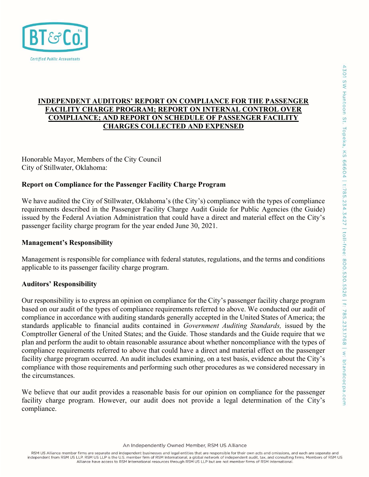

# INDEPENDENT AUDITORS' REPORT ON COMPLIANCE FOR THE PASSENGER FACILITY CHARGE PROGRAM; REPORT ON INTERNAL CONTROL OVER COMPLIANCE; AND REPORT ON SCHEDULE OF PASSENGER FACILITY CHARGES COLLECTED AND EXPENSED

Honorable Mayor, Members of the City Council City of Stillwater, Oklahoma:

## Report on Compliance for the Passenger Facility Charge Program

We have audited the City of Stillwater, Oklahoma's (the City's) compliance with the types of compliance requirements described in the Passenger Facility Charge Audit Guide for Public Agencies (the Guide) issued by the Federal Aviation Administration that could have a direct and material effect on the City's passenger facility charge program for the year ended June 30, 2021.

#### Management's Responsibility

Management is responsible for compliance with federal statutes, regulations, and the terms and conditions applicable to its passenger facility charge program.

#### Auditors' Responsibility

Our responsibility is to express an opinion on compliance for the City's passenger facility charge program based on our audit of the types of compliance requirements referred to above. We conducted our audit of compliance in accordance with auditing standards generally accepted in the United States of America; the standards applicable to financial audits contained in Government Auditing Standards, issued by the Comptroller General of the United States; and the Guide. Those standards and the Guide require that we plan and perform the audit to obtain reasonable assurance about whether noncompliance with the types of compliance requirements referred to above that could have a direct and material effect on the passenger facility charge program occurred. An audit includes examining, on a test basis, evidence about the City's compliance with those requirements and performing such other procedures as we considered necessary in the circumstances.

We believe that our audit provides a reasonable basis for our opinion on compliance for the passenger facility charge program. However, our audit does not provide a legal determination of the City's compliance.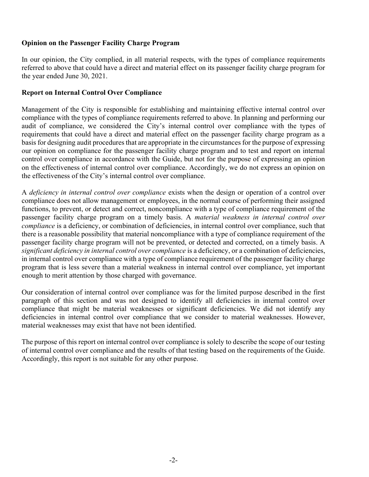# Opinion on the Passenger Facility Charge Program

In our opinion, the City complied, in all material respects, with the types of compliance requirements referred to above that could have a direct and material effect on its passenger facility charge program for the year ended June 30, 2021.

## Report on Internal Control Over Compliance

Management of the City is responsible for establishing and maintaining effective internal control over compliance with the types of compliance requirements referred to above. In planning and performing our audit of compliance, we considered the City's internal control over compliance with the types of requirements that could have a direct and material effect on the passenger facility charge program as a basis for designing audit procedures that are appropriate in the circumstances for the purpose of expressing our opinion on compliance for the passenger facility charge program and to test and report on internal control over compliance in accordance with the Guide, but not for the purpose of expressing an opinion on the effectiveness of internal control over compliance. Accordingly, we do not express an opinion on the effectiveness of the City's internal control over compliance.

A deficiency in internal control over compliance exists when the design or operation of a control over compliance does not allow management or employees, in the normal course of performing their assigned functions, to prevent, or detect and correct, noncompliance with a type of compliance requirement of the passenger facility charge program on a timely basis. A material weakness in internal control over compliance is a deficiency, or combination of deficiencies, in internal control over compliance, such that there is a reasonable possibility that material noncompliance with a type of compliance requirement of the passenger facility charge program will not be prevented, or detected and corrected, on a timely basis. A significant deficiency in internal control over compliance is a deficiency, or a combination of deficiencies, in internal control over compliance with a type of compliance requirement of the passenger facility charge program that is less severe than a material weakness in internal control over compliance, yet important enough to merit attention by those charged with governance.

Our consideration of internal control over compliance was for the limited purpose described in the first paragraph of this section and was not designed to identify all deficiencies in internal control over compliance that might be material weaknesses or significant deficiencies. We did not identify any deficiencies in internal control over compliance that we consider to material weaknesses. However, material weaknesses may exist that have not been identified.

The purpose of this report on internal control over compliance is solely to describe the scope of our testing of internal control over compliance and the results of that testing based on the requirements of the Guide. Accordingly, this report is not suitable for any other purpose.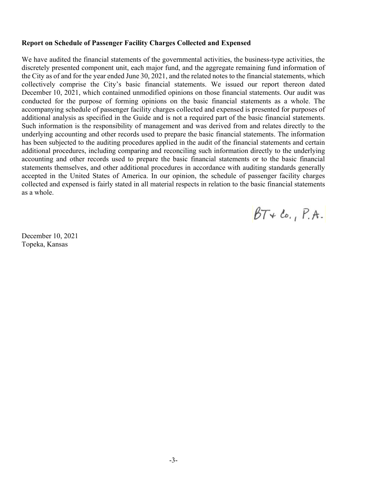#### Report on Schedule of Passenger Facility Charges Collected and Expensed

We have audited the financial statements of the governmental activities, the business-type activities, the discretely presented component unit, each major fund, and the aggregate remaining fund information of the City as of and for the year ended June 30, 2021, and the related notes to the financial statements, which collectively comprise the City's basic financial statements. We issued our report thereon dated December 10, 2021, which contained unmodified opinions on those financial statements. Our audit was conducted for the purpose of forming opinions on the basic financial statements as a whole. The accompanying schedule of passenger facility charges collected and expensed is presented for purposes of additional analysis as specified in the Guide and is not a required part of the basic financial statements. Such information is the responsibility of management and was derived from and relates directly to the underlying accounting and other records used to prepare the basic financial statements. The information has been subjected to the auditing procedures applied in the audit of the financial statements and certain additional procedures, including comparing and reconciling such information directly to the underlying accounting and other records used to prepare the basic financial statements or to the basic financial statements themselves, and other additional procedures in accordance with auditing standards generally accepted in the United States of America. In our opinion, the schedule of passenger facility charges collected and expensed is fairly stated in all material respects in relation to the basic financial statements as a whole.

 $BT + Co., P.A.$ 

December 10, 2021 Topeka, Kansas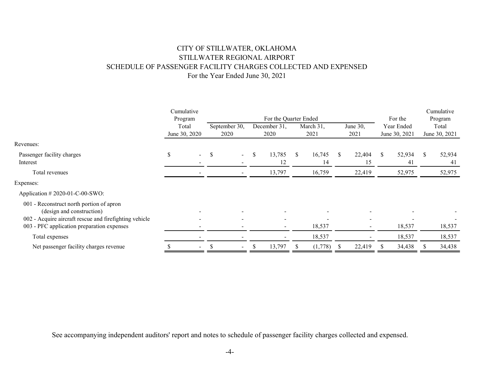# CITY OF STILLWATER, OKLAHOMA STILLWATER REGIONAL AIRPORT SCHEDULE OF PASSENGER FACILITY CHARGES COLLECTED AND EXPENSED For the Year Ended June 30, 2021

|                                                        | Cumulative    |                    |                          |      |                          |    |              |      |          |      |               |    | Cumulative    |
|--------------------------------------------------------|---------------|--------------------|--------------------------|------|--------------------------|----|--------------|------|----------|------|---------------|----|---------------|
|                                                        | Program       |                    |                          |      | For the Quarter Ended    |    |              |      |          |      | For the       |    | Program       |
|                                                        | Total         |                    | September 30,            |      | December 31,             |    | March 31,    |      | June 30, |      | Year Ended    |    | Total         |
|                                                        | June 30, 2020 |                    | 2020                     |      | 2020                     |    | 2021         |      | 2021     |      | June 30, 2021 |    | June 30, 2021 |
| Revenues:                                              |               |                    |                          |      |                          |    |              |      |          |      |               |    |               |
| Passenger facility charges                             | Ъ.            | - \$<br>$\sim 100$ | $\Delta \sim 100$        | - \$ | 13,785                   | -8 | 16,745       | - \$ | 22,404   | -S   | 52,934        | -S | 52,934        |
| Interest                                               |               |                    |                          |      | 12                       |    | 14           |      | 15       |      | 41            |    | 41            |
| Total revenues                                         |               |                    |                          |      | 13,797                   |    | 16,759       |      | 22,419   |      | 52,975        |    | 52,975        |
| Expenses:                                              |               |                    |                          |      |                          |    |              |      |          |      |               |    |               |
| Application $\# 2020-01-C-00-SWO$ :                    |               |                    |                          |      |                          |    |              |      |          |      |               |    |               |
| 001 - Reconstruct north portion of apron               |               |                    |                          |      |                          |    |              |      |          |      |               |    |               |
| (design and construction)                              |               |                    |                          |      |                          |    |              |      |          |      |               |    |               |
| 002 - Acquire aircraft rescue and firefighting vehicle |               |                    | $\overline{\phantom{0}}$ |      | $\overline{\phantom{a}}$ |    |              |      |          |      |               |    |               |
| 003 - PFC application preparation expenses             |               |                    |                          |      | $\overline{\phantom{a}}$ |    | 18,537       |      |          |      | 18,537        |    | 18,537        |
| Total expenses                                         |               |                    |                          |      | $\overline{\phantom{a}}$ |    | 18,537       |      |          |      | 18,537        |    | 18,537        |
| Net passenger facility charges revenue                 |               |                    | $\blacksquare$           | - \$ | 13,797                   |    | $(1,778)$ \$ |      | 22,419   | - 75 | 34,438        |    | 34,438        |
|                                                        |               |                    |                          |      |                          |    |              |      |          |      |               |    |               |

See accompanying independent auditors' report and notes to schedule of passenger facility charges collected and expensed.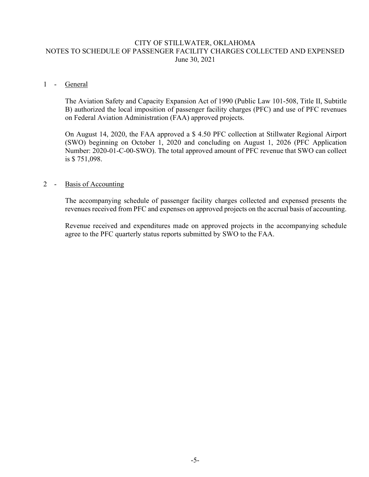## CITY OF STILLWATER, OKLAHOMA NOTES TO SCHEDULE OF PASSENGER FACILITY CHARGES COLLECTED AND EXPENSED June 30, 2021

#### 1 - General

 The Aviation Safety and Capacity Expansion Act of 1990 (Public Law 101-508, Title II, Subtitle B) authorized the local imposition of passenger facility charges (PFC) and use of PFC revenues on Federal Aviation Administration (FAA) approved projects.

 On August 14, 2020, the FAA approved a \$ 4.50 PFC collection at Stillwater Regional Airport (SWO) beginning on October 1, 2020 and concluding on August 1, 2026 (PFC Application Number: 2020-01-C-00-SWO). The total approved amount of PFC revenue that SWO can collect is \$ 751,098.

#### 2 - Basis of Accounting

 The accompanying schedule of passenger facility charges collected and expensed presents the revenues received from PFC and expenses on approved projects on the accrual basis of accounting.

Revenue received and expenditures made on approved projects in the accompanying schedule agree to the PFC quarterly status reports submitted by SWO to the FAA.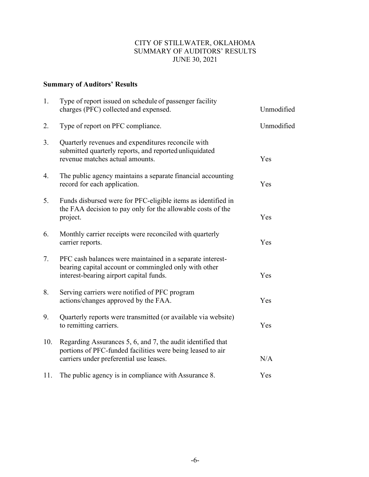# CITY OF STILLWATER, OKLAHOMA SUMMARY OF AUDITORS' RESULTS JUNE 30, 2021

# Summary of Auditors' Results

| 1.  | Type of report issued on schedule of passenger facility<br>charges (PFC) collected and expensed.                                                                     | Unmodified |
|-----|----------------------------------------------------------------------------------------------------------------------------------------------------------------------|------------|
| 2.  | Type of report on PFC compliance.                                                                                                                                    | Unmodified |
| 3.  | Quarterly revenues and expenditures reconcile with<br>submitted quarterly reports, and reported unliquidated<br>revenue matches actual amounts.                      | Yes        |
| 4.  | The public agency maintains a separate financial accounting<br>record for each application.                                                                          | Yes        |
| 5.  | Funds disbursed were for PFC-eligible items as identified in<br>the FAA decision to pay only for the allowable costs of the<br>project.                              | Yes        |
| 6.  | Monthly carrier receipts were reconciled with quarterly<br>carrier reports.                                                                                          | Yes        |
| 7.  | PFC cash balances were maintained in a separate interest-<br>bearing capital account or commingled only with other<br>interest-bearing airport capital funds.        | Yes        |
| 8.  | Serving carriers were notified of PFC program<br>actions/changes approved by the FAA.                                                                                | Yes        |
| 9.  | Quarterly reports were transmitted (or available via website)<br>to remitting carriers.                                                                              | Yes        |
| 10. | Regarding Assurances 5, 6, and 7, the audit identified that<br>portions of PFC-funded facilities were being leased to air<br>carriers under preferential use leases. | N/A        |
| 11. | The public agency is in compliance with Assurance 8.                                                                                                                 | Yes        |